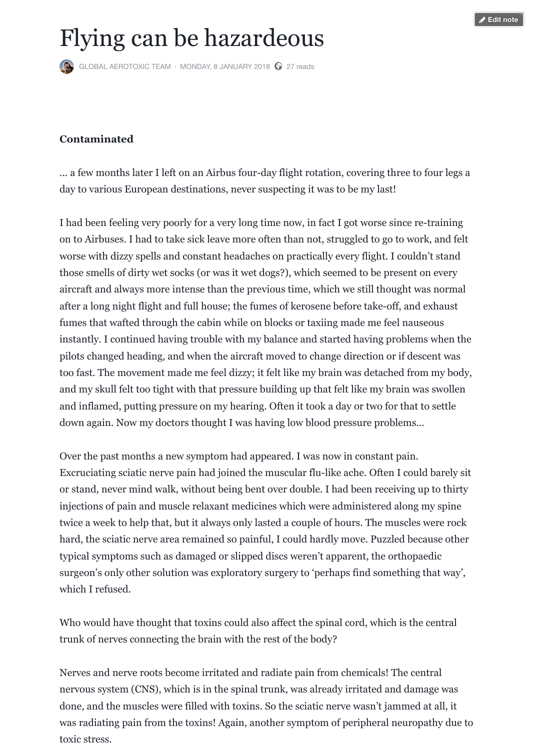aircraft and always more intense than the previous time, which we st after a long night flight and full house; the fumes of kerosene before fumes that wafted through the cabin while on blocks or taxiing made inst[antly. I continued hav](https://www.facebook.com/aerotoxicsyndrome/)i[ng trouble with my ba](https://www.facebook.com/notes/global-aerotoxic-team/flying-can-be-hazardeous/1509196482526469/)[la](https://www.facebook.com/aerotoxicsyndrome/?ref=bookmarks#)nce and started ha pilots changed heading, and when the aircraft moved to change directions. too fast. The movement made me feel dizzy; it felt like my brain was and my skull felt too tight with that pressure building up that felt like and inflamed, putting pressure on my hearing. Often it took a day or down again. Now my doctors thought I was having low blood pressure

Over the past months a new symptom had appeared. I was now in co. Excruciating sciatic nerve pain had joined the muscular flu-like ache. or stand, never mind walk, without being bent over double. I had been injections of pain and muscle relaxant medicines which were admini twice a week to help that, but it always only lasted a couple of hours. hard, the sciatic nerve area remained so painful, I could hardly move. typical symptoms such as damaged or slipped discs weren't apparent surgeon's only other solution was exploratory surgery to 'perhaps fin which I refused.

Who would have thought that toxins could also affect the spinal cord trunk of nerves connecting the brain with the rest of the body?

Nerves and nerve roots become irritated and radiate pain from chemicals. nervous system (CNS), which is in the spinal trunk, was already irritation done, and the muscles were filled with toxins. So the sciatic nerve was was radiating pain from the toxins! Again, another symptom of peripheral neuropathy due to the toxins! toxic stress.